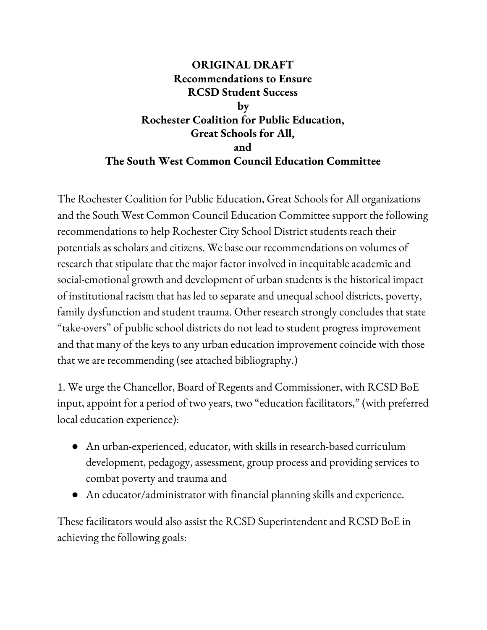## **ORIGINAL DRAFT Recommendations to Ensure RCSD Student Success by Rochester Coalition for Public Education, Great Schools for All, and The South West Common Council Education Committee**

The Rochester Coalition for Public Education, Great Schools for All organizations and the South West Common Council Education Committee support the following recommendations to help Rochester City School District students reach their potentials as scholars and citizens. We base our recommendations on volumes of research that stipulate that the major factor involved in inequitable academic and social-emotional growth and development of urban students is the historical impact of institutional racism that has led to separate and unequal school districts, poverty, family dysfunction and student trauma. Other research strongly concludes that state "take-overs" of public school districts do not lead to student progress improvement and that many of the keys to any urban education improvement coincide with those that we are recommending (see attached bibliography.)

1. We urge the Chancellor, Board of Regents and Commissioner, with RCSD BoE input, appoint for a period of two years, two "education facilitators," (with preferred local education experience):

- An urban-experienced, educator, with skills in research-based curriculum development, pedagogy, assessment, group process and providing services to combat poverty and trauma and
- An educator/administrator with financial planning skills and experience.

These facilitators would also assist the RCSD Superintendent and RCSD BoE in achieving the following goals: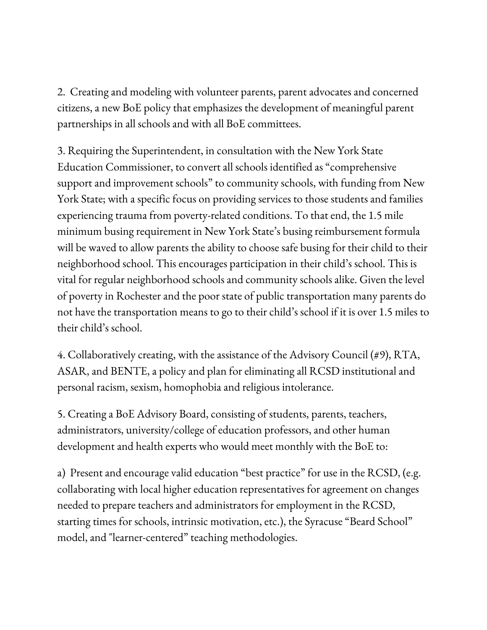2. Creating and modeling with volunteer parents, parent advocates and concerned citizens, a new BoE policy that emphasizes the development of meaningful parent partnerships in all schools and with all BoE committees.

3. Requiring the Superintendent, in consultation with the New York State Education Commissioner, to convert all schools identified as "comprehensive support and improvement schools" to community schools, with funding from New York State; with a specific focus on providing services to those students and families experiencing trauma from poverty-related conditions. To that end, the 1.5 mile minimum busing requirement in New York State's busing reimbursement formula will be waved to allow parents the ability to choose safe busing for their child to their neighborhood school. This encourages participation in their child's school. This is vital for regular neighborhood schools and community schools alike. Given the level of poverty in Rochester and the poor state of public transportation many parents do not have the transportation means to go to their child's school if it is over 1.5 miles to their child's school.

4. Collaboratively creating, with the assistance of the Advisory Council (#9), RTA, ASAR, and BENTE, a policy and plan for eliminating all RCSD institutional and personal racism, sexism, homophobia and religious intolerance.

5. Creating a BoE Advisory Board, consisting of students, parents, teachers, administrators, university/college of education professors, and other human development and health experts who would meet monthly with the BoE to:

a) Present and encourage valid education "best practice" for use in the RCSD, (e.g. collaborating with local higher education representatives for agreement on changes needed to prepare teachers and administrators for employment in the RCSD, starting times for schools, intrinsic motivation, etc.), the Syracuse "Beard School" model, and "learner-centered" teaching methodologies.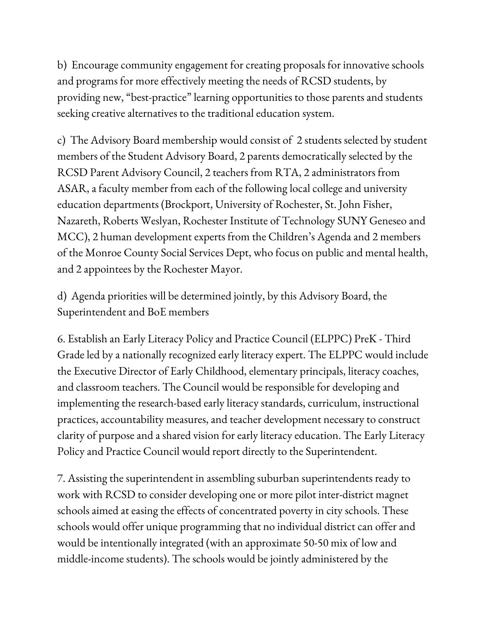b) Encourage community engagement for creating proposals for innovative schools and programs for more effectively meeting the needs of RCSD students, by providing new, "best-practice" learning opportunities to those parents and students seeking creative alternatives to the traditional education system.

c) The Advisory Board membership would consist of 2 students selected by student members of the Student Advisory Board, 2 parents democratically selected by the RCSD Parent Advisory Council, 2 teachers from RTA, 2 administrators from ASAR, a faculty member from each of the following local college and university education departments (Brockport, University of Rochester, St. John Fisher, Nazareth, Roberts Weslyan, Rochester Institute of Technology SUNY Geneseo and MCC), 2 human development experts from the Children's Agenda and 2 members of the Monroe County Social Services Dept, who focus on public and mental health, and 2 appointees by the Rochester Mayor.

d) Agenda priorities will be determined jointly, by this Advisory Board, the Superintendent and BoE members

6. Establish an Early Literacy Policy and Practice Council (ELPPC) PreK - Third Grade led by a nationally recognized early literacy expert. The ELPPC would include the Executive Director of Early Childhood, elementary principals, literacy coaches, and classroom teachers. The Council would be responsible for developing and implementing the research-based early literacy standards, curriculum, instructional practices, accountability measures, and teacher development necessary to construct clarity of purpose and a shared vision for early literacy education. The Early Literacy Policy and Practice Council would report directly to the Superintendent.

7. Assisting the superintendent in assembling suburban superintendents ready to work with RCSD to consider developing one or more pilot inter-district magnet schools aimed at easing the effects of concentrated poverty in city schools. These schools would offer unique programming that no individual district can offer and would be intentionally integrated (with an approximate 50-50 mix of low and middle-income students). The schools would be jointly administered by the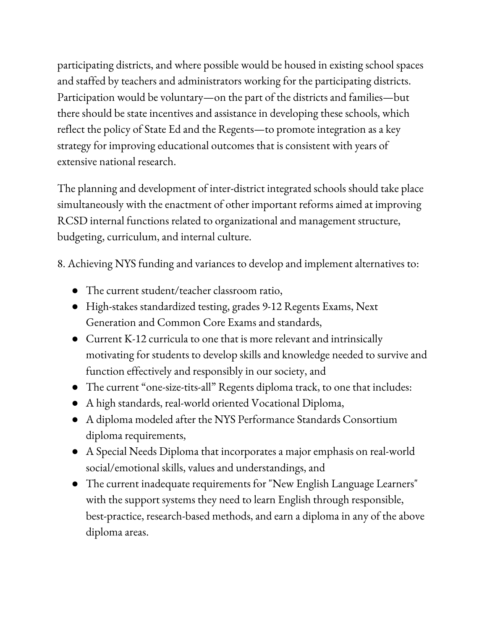participating districts, and where possible would be housed in existing school spaces and staffed by teachers and administrators working for the participating districts. Participation would be voluntary—on the part of the districts and families—but there should be state incentives and assistance in developing these schools, which reflect the policy of State Ed and the Regents—to promote integration as a key strategy for improving educational outcomes that is consistent with years of extensive national research.

The planning and development of inter-district integrated schools should take place simultaneously with the enactment of other important reforms aimed at improving RCSD internal functions related to organizational and management structure, budgeting, curriculum, and internal culture.

8. Achieving NYS funding and variances to develop and implement alternatives to:

- The current student/teacher classroom ratio,
- High-stakes standardized testing, grades 9-12 Regents Exams, Next Generation and Common Core Exams and standards,
- Current K-12 curricula to one that is more relevant and intrinsically motivating for students to develop skills and knowledge needed to survive and function effectively and responsibly in our society, and
- The current "one-size-tits-all" Regents diploma track, to one that includes:
- A high standards, real-world oriented Vocational Diploma,
- A diploma modeled after the NYS Performance Standards Consortium diploma requirements,
- A Special Needs Diploma that incorporates a major emphasis on real-world social/emotional skills, values and understandings, and
- The current inadequate requirements for "New English Language Learners" with the support systems they need to learn English through responsible, best-practice, research-based methods, and earn a diploma in any of the above diploma areas.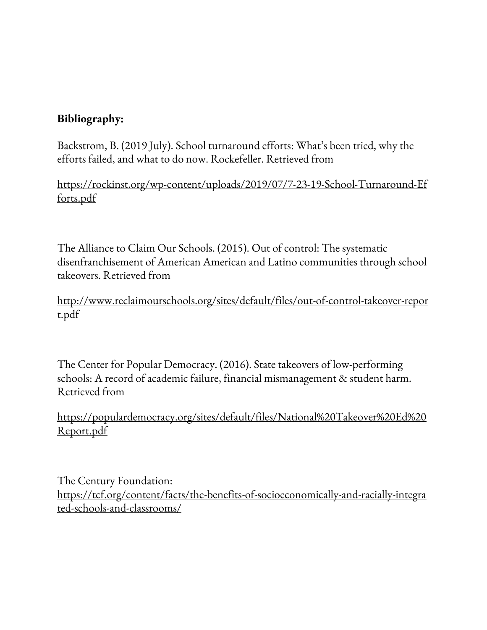## **Bibliography:**

Backstrom, B. (2019 July). School turnaround efforts: What's been tried, why the efforts failed, and what to do now. Rockefeller. Retrieved from

https://rockinst.org/wp-content/uploads/2019/07/7-23-19-School-Turnaround-Ef forts.pdf

The Alliance to Claim Our Schools. (2015). Out of control: The systematic disenfranchisement of American American and Latino communities through school takeovers. Retrieved from

http://www.reclaimourschools.org/sites/default/files/out-of-control-takeover-repor t.pdf

The Center for Popular Democracy. (2016). State takeovers of low-performing schools: A record of academic failure, financial mismanagement & student harm. Retrieved from

https://populardemocracy.org/sites/default/files/National%20Takeover%20Ed%20 Report.pdf

The Century Foundation: https://tcf.org/content/facts/the-benefits-of-socioeconomically-and-racially-integra ted-schools-and-classrooms/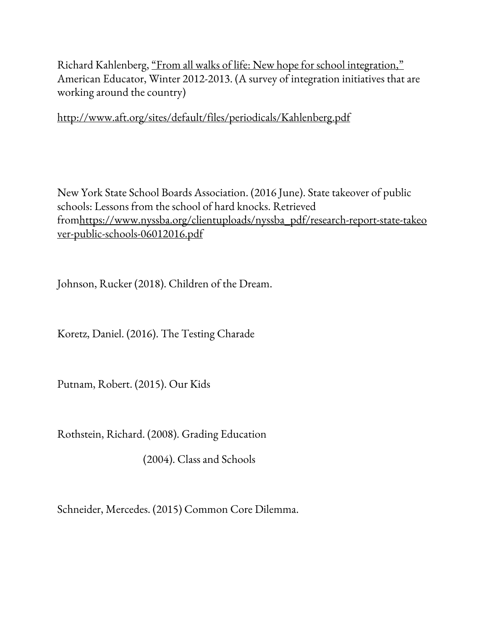Richard Kahlenberg, "From all walks of life: New hope for school integration," American Educator, Winter 2012-2013. (A survey of integration initiatives that are working around the country)

http://www.aft.org/sites/default/files/periodicals/Kahlenberg.pdf

New York State School Boards Association. (2016 June). State takeover of public schools: Lessons from the school of hard knocks. Retrieved fromhttps://www.nyssba.org/clientuploads/nyssba\_pdf/research-report-state-takeo ver-public-schools-06012016.pdf

Johnson, Rucker (2018). Children of the Dream.

Koretz, Daniel. (2016). The Testing Charade

Putnam, Robert. (2015). Our Kids

Rothstein, Richard. (2008). Grading Education

(2004). Class and Schools

Schneider, Mercedes. (2015) Common Core Dilemma.